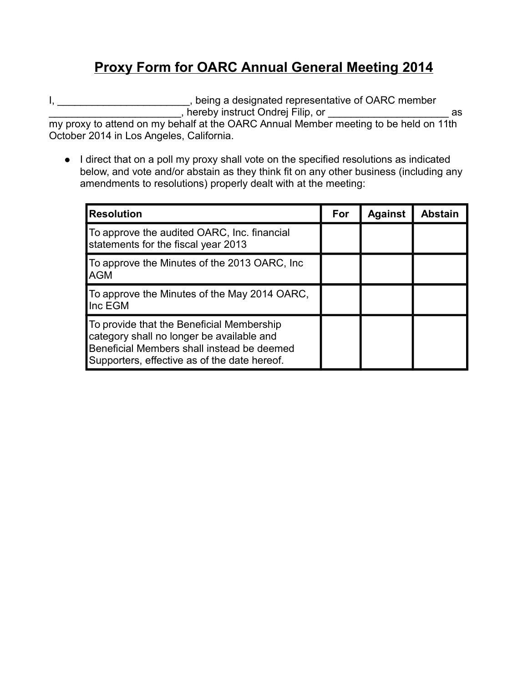## **Proxy Form for OARC Annual General Meeting 2014**

I, \_\_\_\_\_\_\_\_\_\_\_\_\_\_\_\_\_\_\_\_\_\_\_\_, being a designated representative of OARC member \_\_\_\_\_\_\_\_\_\_\_\_\_\_\_\_\_\_\_\_\_\_\_, hereby instruct Ondrej Filip, or \_\_\_\_\_\_\_\_\_\_\_\_\_\_\_\_\_\_\_\_\_ as

my proxy to attend on my behalf at the OARC Annual Member meeting to be held on 11th October 2014 in Los Angeles, California.

• I direct that on a poll my proxy shall vote on the specified resolutions as indicated below, and vote and/or abstain as they think fit on any other business (including any amendments to resolutions) properly dealt with at the meeting:

| <b>Resolution</b>                                                                                                                                                                    | For | <b>Against</b> | <b>Abstain</b> |
|--------------------------------------------------------------------------------------------------------------------------------------------------------------------------------------|-----|----------------|----------------|
| To approve the audited OARC, Inc. financial<br>statements for the fiscal year 2013                                                                                                   |     |                |                |
| To approve the Minutes of the 2013 OARC, Inc.<br><b>AGM</b>                                                                                                                          |     |                |                |
| To approve the Minutes of the May 2014 OARC,<br>Inc EGM                                                                                                                              |     |                |                |
| To provide that the Beneficial Membership<br>category shall no longer be available and<br>Beneficial Members shall instead be deemed<br>Supporters, effective as of the date hereof. |     |                |                |